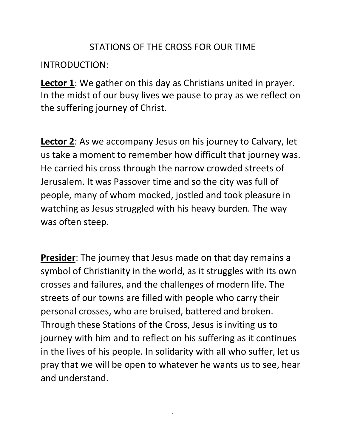#### STATIONS OF THE CROSS FOR OUR TIME

INTRODUCTION:

Lector 1: We gather on this day as Christians united in prayer. In the midst of our busy lives we pause to pray as we reflect on the suffering journey of Christ.

Lector 2: As we accompany Jesus on his journey to Calvary, let us take a moment to remember how difficult that journey was. He carried his cross through the narrow crowded streets of Jerusalem. It was Passover time and so the city was full of people, many of whom mocked, jostled and took pleasure in watching as Jesus struggled with his heavy burden. The way was often steep.

Presider: The journey that Jesus made on that day remains a symbol of Christianity in the world, as it struggles with its own crosses and failures, and the challenges of modern life. The streets of our towns are filled with people who carry their personal crosses, who are bruised, battered and broken. Through these Stations of the Cross, Jesus is inviting us to journey with him and to reflect on his suffering as it continues in the lives of his people. In solidarity with all who suffer, let us pray that we will be open to whatever he wants us to see, hear and understand.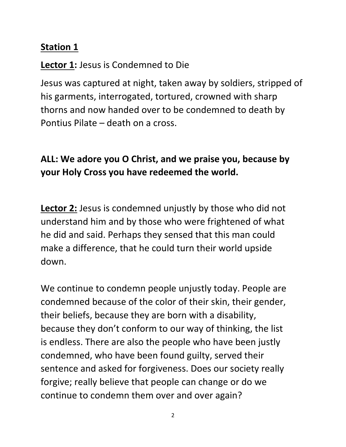### Lector 1: Jesus is Condemned to Die

Jesus was captured at night, taken away by soldiers, stripped of his garments, interrogated, tortured, crowned with sharp thorns and now handed over to be condemned to death by Pontius Pilate – death on a cross.

## ALL: We adore you O Christ, and we praise you, because by your Holy Cross you have redeemed the world.

Lector 2: Jesus is condemned unjustly by those who did not understand him and by those who were frightened of what he did and said. Perhaps they sensed that this man could make a difference, that he could turn their world upside down.

We continue to condemn people unjustly today. People are condemned because of the color of their skin, their gender, their beliefs, because they are born with a disability, because they don't conform to our way of thinking, the list is endless. There are also the people who have been justly condemned, who have been found guilty, served their sentence and asked for forgiveness. Does our society really forgive; really believe that people can change or do we continue to condemn them over and over again?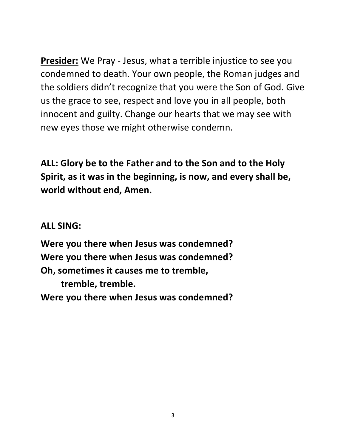Presider: We Pray - Jesus, what a terrible injustice to see you condemned to death. Your own people, the Roman judges and the soldiers didn't recognize that you were the Son of God. Give us the grace to see, respect and love you in all people, both innocent and guilty. Change our hearts that we may see with new eyes those we might otherwise condemn.

ALL: Glory be to the Father and to the Son and to the Holy Spirit, as it was in the beginning, is now, and every shall be, world without end, Amen.

#### ALL SING:

Were you there when Jesus was condemned? Were you there when Jesus was condemned? Oh, sometimes it causes me to tremble, tremble, tremble. Were you there when Jesus was condemned?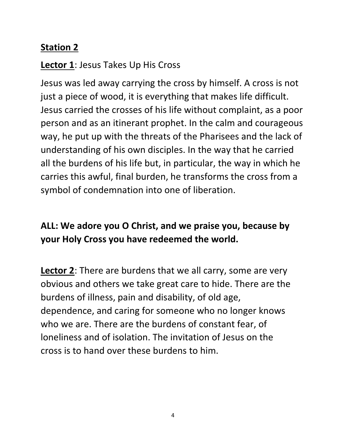### Lector 1: Jesus Takes Up His Cross

Jesus was led away carrying the cross by himself. A cross is not just a piece of wood, it is everything that makes life difficult. Jesus carried the crosses of his life without complaint, as a poor person and as an itinerant prophet. In the calm and courageous way, he put up with the threats of the Pharisees and the lack of understanding of his own disciples. In the way that he carried all the burdens of his life but, in particular, the way in which he carries this awful, final burden, he transforms the cross from a symbol of condemnation into one of liberation.

# ALL: We adore you O Christ, and we praise you, because by your Holy Cross you have redeemed the world.

Lector 2: There are burdens that we all carry, some are very obvious and others we take great care to hide. There are the burdens of illness, pain and disability, of old age, dependence, and caring for someone who no longer knows who we are. There are the burdens of constant fear, of loneliness and of isolation. The invitation of Jesus on the cross is to hand over these burdens to him.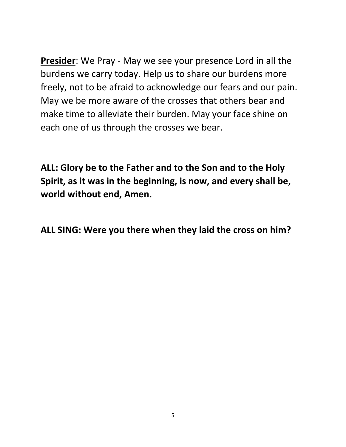Presider: We Pray - May we see your presence Lord in all the burdens we carry today. Help us to share our burdens more freely, not to be afraid to acknowledge our fears and our pain. May we be more aware of the crosses that others bear and make time to alleviate their burden. May your face shine on each one of us through the crosses we bear.

ALL: Glory be to the Father and to the Son and to the Holy Spirit, as it was in the beginning, is now, and every shall be, world without end, Amen.

ALL SING: Were you there when they laid the cross on him?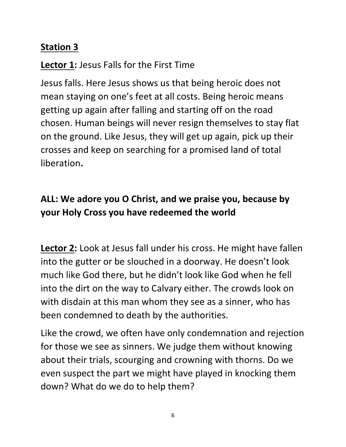## Lector 1: Jesus Falls for the First Time

Jesus falls. Here Jesus shows us that being heroic does not mean staying on one's feet at all costs. Being heroic means getting up again after falling and starting off on the road chosen. Human beings will never resign themselves to stay flat on the ground. Like Jesus, they will get up again, pick up their crosses and keep on searching for a promised land of total liberation.

# ALL: We adore you O Christ, and we praise you, because by your Holy Cross you have redeemed the world

Lector 2: Look at Jesus fall under his cross. He might have fallen into the gutter or be slouched in a doorway. He doesn't look much like God there, but he didn't look like God when he fell into the dirt on the way to Calvary either. The crowds look on with disdain at this man whom they see as a sinner, who has been condemned to death by the authorities.

Like the crowd, we often have only condemnation and rejection for those we see as sinners. We judge them without knowing about their trials, scourging and crowning with thorns. Do we even suspect the part we might have played in knocking them down? What do we do to help them?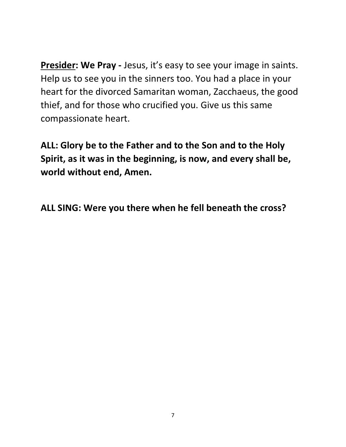Presider: We Pray - Jesus, it's easy to see your image in saints. Help us to see you in the sinners too. You had a place in your heart for the divorced Samaritan woman, Zacchaeus, the good thief, and for those who crucified you. Give us this same compassionate heart.

ALL: Glory be to the Father and to the Son and to the Holy Spirit, as it was in the beginning, is now, and every shall be, world without end, Amen.

ALL SING: Were you there when he fell beneath the cross?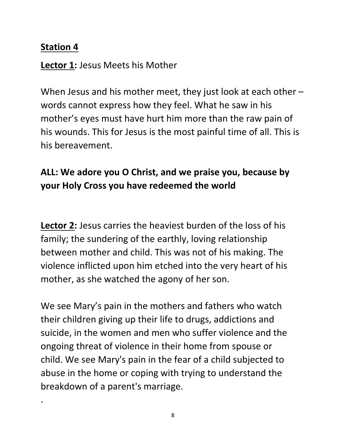.

### Lector 1: Jesus Meets his Mother

When Jesus and his mother meet, they just look at each other – words cannot express how they feel. What he saw in his mother's eyes must have hurt him more than the raw pain of his wounds. This for Jesus is the most painful time of all. This is his bereavement.

# ALL: We adore you O Christ, and we praise you, because by your Holy Cross you have redeemed the world

Lector 2: Jesus carries the heaviest burden of the loss of his family; the sundering of the earthly, loving relationship between mother and child. This was not of his making. The violence inflicted upon him etched into the very heart of his mother, as she watched the agony of her son.

We see Mary's pain in the mothers and fathers who watch their children giving up their life to drugs, addictions and suicide, in the women and men who suffer violence and the ongoing threat of violence in their home from spouse or child. We see Mary's pain in the fear of a child subjected to abuse in the home or coping with trying to understand the breakdown of a parent's marriage.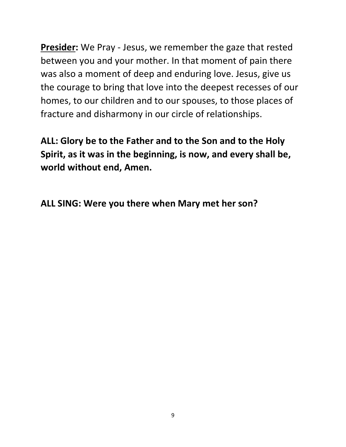Presider: We Pray - Jesus, we remember the gaze that rested between you and your mother. In that moment of pain there was also a moment of deep and enduring love. Jesus, give us the courage to bring that love into the deepest recesses of our homes, to our children and to our spouses, to those places of fracture and disharmony in our circle of relationships.

ALL: Glory be to the Father and to the Son and to the Holy Spirit, as it was in the beginning, is now, and every shall be, world without end, Amen.

ALL SING: Were you there when Mary met her son?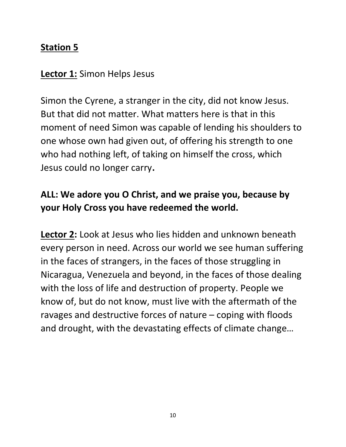#### Lector 1: Simon Helps Jesus

Simon the Cyrene, a stranger in the city, did not know Jesus. But that did not matter. What matters here is that in this moment of need Simon was capable of lending his shoulders to one whose own had given out, of offering his strength to one who had nothing left, of taking on himself the cross, which Jesus could no longer carry.

# ALL: We adore you O Christ, and we praise you, because by your Holy Cross you have redeemed the world.

Lector 2: Look at Jesus who lies hidden and unknown beneath every person in need. Across our world we see human suffering in the faces of strangers, in the faces of those struggling in Nicaragua, Venezuela and beyond, in the faces of those dealing with the loss of life and destruction of property. People we know of, but do not know, must live with the aftermath of the ravages and destructive forces of nature – coping with floods and drought, with the devastating effects of climate change…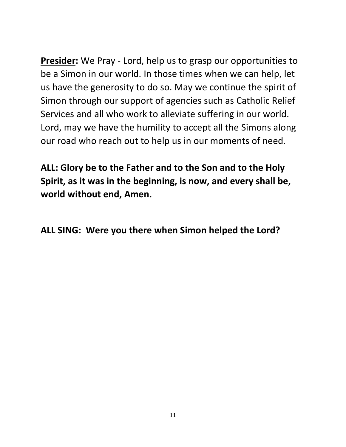Presider: We Pray - Lord, help us to grasp our opportunities to be a Simon in our world. In those times when we can help, let us have the generosity to do so. May we continue the spirit of Simon through our support of agencies such as Catholic Relief Services and all who work to alleviate suffering in our world. Lord, may we have the humility to accept all the Simons along our road who reach out to help us in our moments of need.

ALL: Glory be to the Father and to the Son and to the Holy Spirit, as it was in the beginning, is now, and every shall be, world without end, Amen.

ALL SING: Were you there when Simon helped the Lord?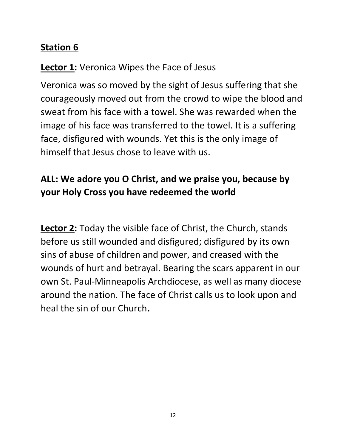## Lector 1: Veronica Wipes the Face of Jesus

Veronica was so moved by the sight of Jesus suffering that she courageously moved out from the crowd to wipe the blood and sweat from his face with a towel. She was rewarded when the image of his face was transferred to the towel. It is a suffering face, disfigured with wounds. Yet this is the only image of himself that Jesus chose to leave with us.

# ALL: We adore you O Christ, and we praise you, because by your Holy Cross you have redeemed the world

Lector 2: Today the visible face of Christ, the Church, stands before us still wounded and disfigured; disfigured by its own sins of abuse of children and power, and creased with the wounds of hurt and betrayal. Bearing the scars apparent in our own St. Paul-Minneapolis Archdiocese, as well as many diocese around the nation. The face of Christ calls us to look upon and heal the sin of our Church.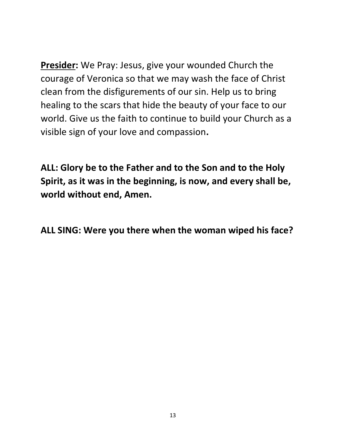Presider: We Pray: Jesus, give your wounded Church the courage of Veronica so that we may wash the face of Christ clean from the disfigurements of our sin. Help us to bring healing to the scars that hide the beauty of your face to our world. Give us the faith to continue to build your Church as a visible sign of your love and compassion.

ALL: Glory be to the Father and to the Son and to the Holy Spirit, as it was in the beginning, is now, and every shall be, world without end, Amen.

ALL SING: Were you there when the woman wiped his face?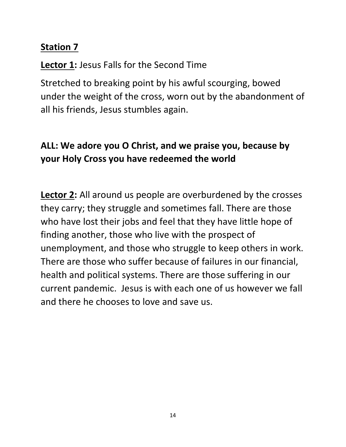Lector 1: Jesus Falls for the Second Time

Stretched to breaking point by his awful scourging, bowed under the weight of the cross, worn out by the abandonment of all his friends, Jesus stumbles again.

# ALL: We adore you O Christ, and we praise you, because by your Holy Cross you have redeemed the world

Lector 2: All around us people are overburdened by the crosses they carry; they struggle and sometimes fall. There are those who have lost their jobs and feel that they have little hope of finding another, those who live with the prospect of unemployment, and those who struggle to keep others in work. There are those who suffer because of failures in our financial, health and political systems. There are those suffering in our current pandemic. Jesus is with each one of us however we fall and there he chooses to love and save us.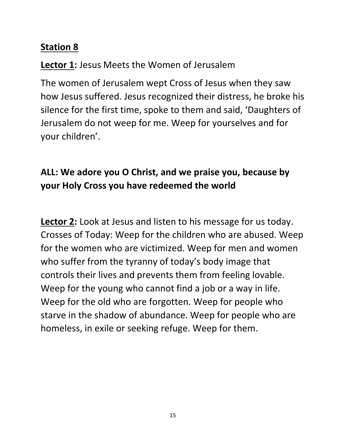### Lector 1: Jesus Meets the Women of Jerusalem

The women of Jerusalem wept Cross of Jesus when they saw how Jesus suffered. Jesus recognized their distress, he broke his silence for the first time, spoke to them and said, 'Daughters of Jerusalem do not weep for me. Weep for yourselves and for your children'.

# ALL: We adore you O Christ, and we praise you, because by your Holy Cross you have redeemed the world

Lector 2: Look at Jesus and listen to his message for us today. Crosses of Today: Weep for the children who are abused. Weep for the women who are victimized. Weep for men and women who suffer from the tyranny of today's body image that controls their lives and prevents them from feeling lovable. Weep for the young who cannot find a job or a way in life. Weep for the old who are forgotten. Weep for people who starve in the shadow of abundance. Weep for people who are homeless, in exile or seeking refuge. Weep for them.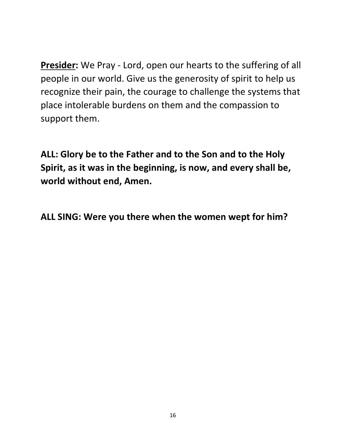Presider: We Pray - Lord, open our hearts to the suffering of all people in our world. Give us the generosity of spirit to help us recognize their pain, the courage to challenge the systems that place intolerable burdens on them and the compassion to support them.

ALL: Glory be to the Father and to the Son and to the Holy Spirit, as it was in the beginning, is now, and every shall be, world without end, Amen.

ALL SING: Were you there when the women wept for him?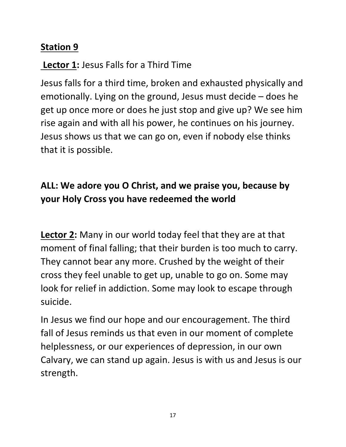## Lector 1: Jesus Falls for a Third Time

Jesus falls for a third time, broken and exhausted physically and emotionally. Lying on the ground, Jesus must decide – does he get up once more or does he just stop and give up? We see him rise again and with all his power, he continues on his journey. Jesus shows us that we can go on, even if nobody else thinks that it is possible.

# ALL: We adore you O Christ, and we praise you, because by your Holy Cross you have redeemed the world

Lector 2: Many in our world today feel that they are at that moment of final falling; that their burden is too much to carry. They cannot bear any more. Crushed by the weight of their cross they feel unable to get up, unable to go on. Some may look for relief in addiction. Some may look to escape through suicide.

In Jesus we find our hope and our encouragement. The third fall of Jesus reminds us that even in our moment of complete helplessness, or our experiences of depression, in our own Calvary, we can stand up again. Jesus is with us and Jesus is our strength.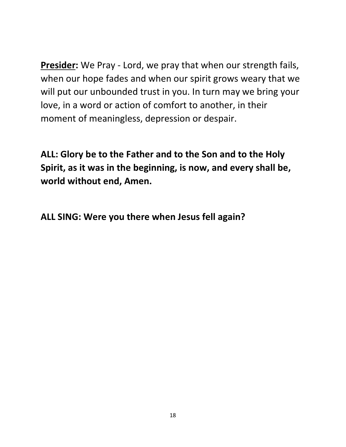Presider: We Pray - Lord, we pray that when our strength fails, when our hope fades and when our spirit grows weary that we will put our unbounded trust in you. In turn may we bring your love, in a word or action of comfort to another, in their moment of meaningless, depression or despair.

ALL: Glory be to the Father and to the Son and to the Holy Spirit, as it was in the beginning, is now, and every shall be, world without end, Amen.

ALL SING: Were you there when Jesus fell again?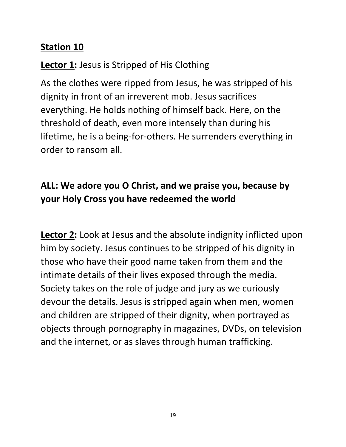### Lector 1: Jesus is Stripped of His Clothing

As the clothes were ripped from Jesus, he was stripped of his dignity in front of an irreverent mob. Jesus sacrifices everything. He holds nothing of himself back. Here, on the threshold of death, even more intensely than during his lifetime, he is a being-for-others. He surrenders everything in order to ransom all.

# ALL: We adore you O Christ, and we praise you, because by your Holy Cross you have redeemed the world

Lector 2: Look at Jesus and the absolute indignity inflicted upon him by society. Jesus continues to be stripped of his dignity in those who have their good name taken from them and the intimate details of their lives exposed through the media. Society takes on the role of judge and jury as we curiously devour the details. Jesus is stripped again when men, women and children are stripped of their dignity, when portrayed as objects through pornography in magazines, DVDs, on television and the internet, or as slaves through human trafficking.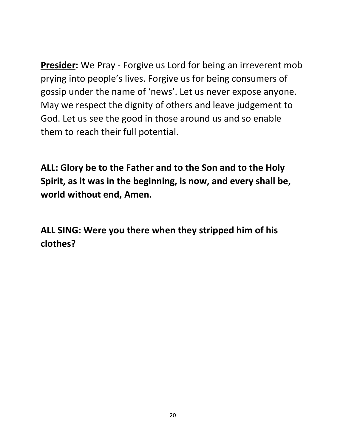Presider: We Pray - Forgive us Lord for being an irreverent mob prying into people's lives. Forgive us for being consumers of gossip under the name of 'news'. Let us never expose anyone. May we respect the dignity of others and leave judgement to God. Let us see the good in those around us and so enable them to reach their full potential.

ALL: Glory be to the Father and to the Son and to the Holy Spirit, as it was in the beginning, is now, and every shall be, world without end, Amen.

ALL SING: Were you there when they stripped him of his clothes?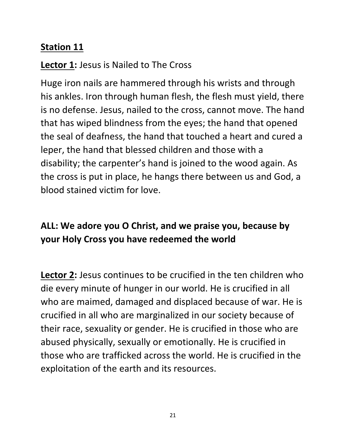## Lector 1: Jesus is Nailed to The Cross

Huge iron nails are hammered through his wrists and through his ankles. Iron through human flesh, the flesh must yield, there is no defense. Jesus, nailed to the cross, cannot move. The hand that has wiped blindness from the eyes; the hand that opened the seal of deafness, the hand that touched a heart and cured a leper, the hand that blessed children and those with a disability; the carpenter's hand is joined to the wood again. As the cross is put in place, he hangs there between us and God, a blood stained victim for love.

## ALL: We adore you O Christ, and we praise you, because by your Holy Cross you have redeemed the world

Lector 2: Jesus continues to be crucified in the ten children who die every minute of hunger in our world. He is crucified in all who are maimed, damaged and displaced because of war. He is crucified in all who are marginalized in our society because of their race, sexuality or gender. He is crucified in those who are abused physically, sexually or emotionally. He is crucified in those who are trafficked across the world. He is crucified in the exploitation of the earth and its resources.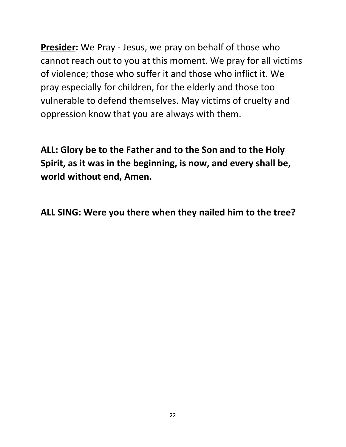Presider: We Pray - Jesus, we pray on behalf of those who cannot reach out to you at this moment. We pray for all victims of violence; those who suffer it and those who inflict it. We pray especially for children, for the elderly and those too vulnerable to defend themselves. May victims of cruelty and oppression know that you are always with them.

ALL: Glory be to the Father and to the Son and to the Holy Spirit, as it was in the beginning, is now, and every shall be, world without end, Amen.

ALL SING: Were you there when they nailed him to the tree?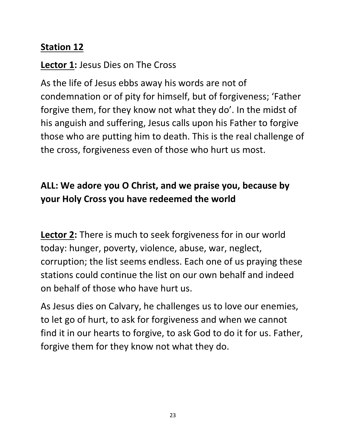#### Lector 1: Jesus Dies on The Cross

As the life of Jesus ebbs away his words are not of condemnation or of pity for himself, but of forgiveness; 'Father forgive them, for they know not what they do'. In the midst of his anguish and suffering, Jesus calls upon his Father to forgive those who are putting him to death. This is the real challenge of the cross, forgiveness even of those who hurt us most.

# ALL: We adore you O Christ, and we praise you, because by your Holy Cross you have redeemed the world

Lector 2: There is much to seek forgiveness for in our world today: hunger, poverty, violence, abuse, war, neglect, corruption; the list seems endless. Each one of us praying these stations could continue the list on our own behalf and indeed on behalf of those who have hurt us.

As Jesus dies on Calvary, he challenges us to love our enemies, to let go of hurt, to ask for forgiveness and when we cannot find it in our hearts to forgive, to ask God to do it for us. Father, forgive them for they know not what they do.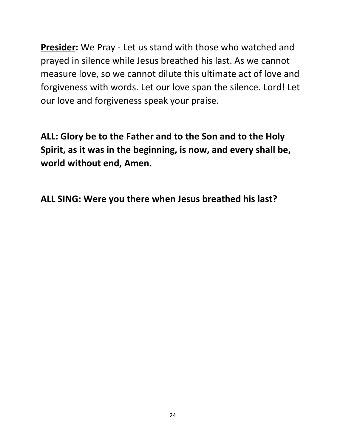Presider: We Pray - Let us stand with those who watched and prayed in silence while Jesus breathed his last. As we cannot measure love, so we cannot dilute this ultimate act of love and forgiveness with words. Let our love span the silence. Lord! Let our love and forgiveness speak your praise.

ALL: Glory be to the Father and to the Son and to the Holy Spirit, as it was in the beginning, is now, and every shall be, world without end, Amen.

ALL SING: Were you there when Jesus breathed his last?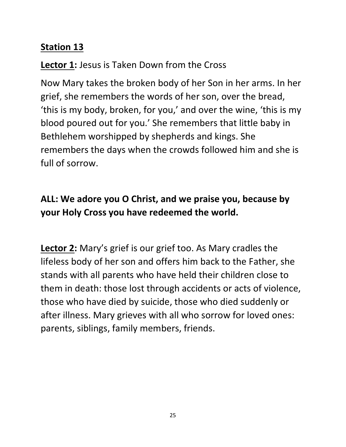Lector 1: Jesus is Taken Down from the Cross

Now Mary takes the broken body of her Son in her arms. In her grief, she remembers the words of her son, over the bread, 'this is my body, broken, for you,' and over the wine, 'this is my blood poured out for you.' She remembers that little baby in Bethlehem worshipped by shepherds and kings. She remembers the days when the crowds followed him and she is full of sorrow.

## ALL: We adore you O Christ, and we praise you, because by your Holy Cross you have redeemed the world.

Lector 2: Mary's grief is our grief too. As Mary cradles the lifeless body of her son and offers him back to the Father, she stands with all parents who have held their children close to them in death: those lost through accidents or acts of violence, those who have died by suicide, those who died suddenly or after illness. Mary grieves with all who sorrow for loved ones: parents, siblings, family members, friends.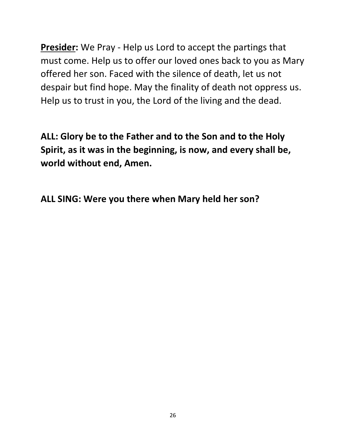Presider: We Pray - Help us Lord to accept the partings that must come. Help us to offer our loved ones back to you as Mary offered her son. Faced with the silence of death, let us not despair but find hope. May the finality of death not oppress us. Help us to trust in you, the Lord of the living and the dead.

ALL: Glory be to the Father and to the Son and to the Holy Spirit, as it was in the beginning, is now, and every shall be, world without end, Amen.

ALL SING: Were you there when Mary held her son?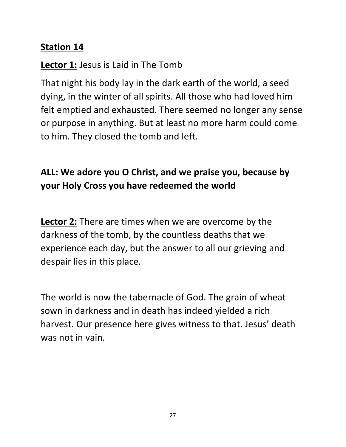### Lector 1: Jesus is Laid in The Tomb

That night his body lay in the dark earth of the world, a seed dying, in the winter of all spirits. All those who had loved him felt emptied and exhausted. There seemed no longer any sense or purpose in anything. But at least no more harm could come to him. They closed the tomb and left.

# ALL: We adore you O Christ, and we praise you, because by your Holy Cross you have redeemed the world

Lector 2: There are times when we are overcome by the darkness of the tomb, by the countless deaths that we experience each day, but the answer to all our grieving and despair lies in this place.

The world is now the tabernacle of God. The grain of wheat sown in darkness and in death has indeed yielded a rich harvest. Our presence here gives witness to that. Jesus' death was not in vain.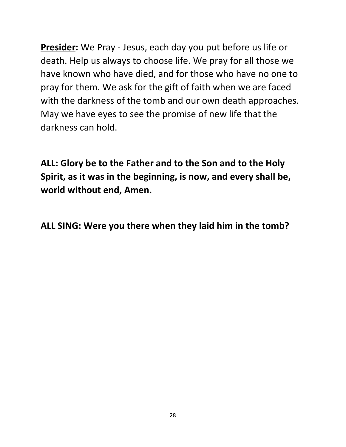Presider: We Pray - Jesus, each day you put before us life or death. Help us always to choose life. We pray for all those we have known who have died, and for those who have no one to pray for them. We ask for the gift of faith when we are faced with the darkness of the tomb and our own death approaches. May we have eyes to see the promise of new life that the darkness can hold.

ALL: Glory be to the Father and to the Son and to the Holy Spirit, as it was in the beginning, is now, and every shall be, world without end, Amen.

ALL SING: Were you there when they laid him in the tomb?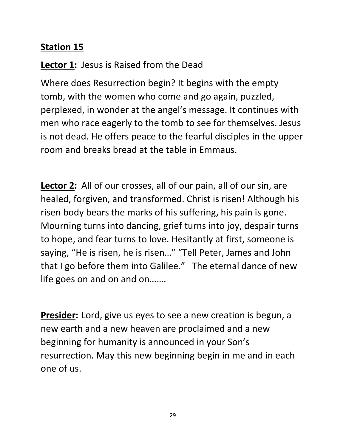### Lector 1: Jesus is Raised from the Dead

Where does Resurrection begin? It begins with the empty tomb, with the women who come and go again, puzzled, perplexed, in wonder at the angel's message. It continues with men who race eagerly to the tomb to see for themselves. Jesus is not dead. He offers peace to the fearful disciples in the upper room and breaks bread at the table in Emmaus.

Lector 2: All of our crosses, all of our pain, all of our sin, are healed, forgiven, and transformed. Christ is risen! Although his risen body bears the marks of his suffering, his pain is gone. Mourning turns into dancing, grief turns into joy, despair turns to hope, and fear turns to love. Hesitantly at first, someone is saying, "He is risen, he is risen…" "Tell Peter, James and John that I go before them into Galilee." The eternal dance of new life goes on and on and on…….

Presider: Lord, give us eyes to see a new creation is begun, a new earth and a new heaven are proclaimed and a new beginning for humanity is announced in your Son's resurrection. May this new beginning begin in me and in each one of us.